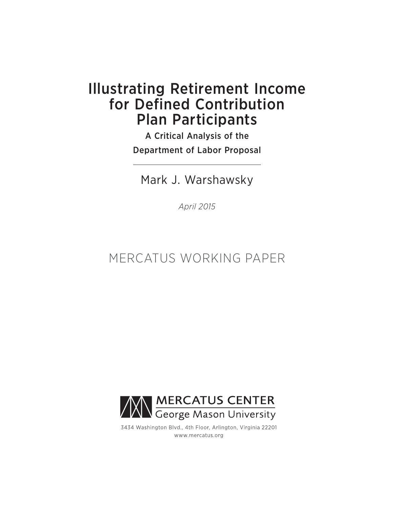# Illustrating Retirement Income for Defined Contribution Plan Participants

A Critical Analysis of the Department of Labor Proposal

Mark J. Warshawsky

*April 2015*

# MERCATUS WORKING PAPER



3434 Washington Blvd., 4th Floor, Arlington, Virginia 22201 www.mercatus.org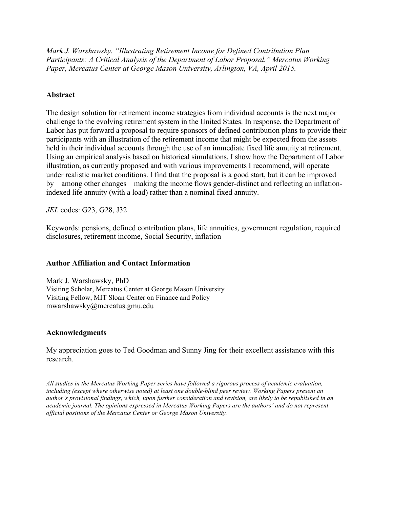*Mark J. Warshawsky. "Illustrating Retirement Income for Defined Contribution Plan Participants: A Critical Analysis of the Department of Labor Proposal." Mercatus Working Paper, Mercatus Center at George Mason University, Arlington, VA, April 2015.*

# **Abstract**

The design solution for retirement income strategies from individual accounts is the next major challenge to the evolving retirement system in the United States. In response, the Department of Labor has put forward a proposal to require sponsors of defined contribution plans to provide their participants with an illustration of the retirement income that might be expected from the assets held in their individual accounts through the use of an immediate fixed life annuity at retirement. Using an empirical analysis based on historical simulations, I show how the Department of Labor illustration, as currently proposed and with various improvements I recommend, will operate under realistic market conditions. I find that the proposal is a good start, but it can be improved by—among other changes—making the income flows gender-distinct and reflecting an inflationindexed life annuity (with a load) rather than a nominal fixed annuity.

*JEL* codes: G23, G28, J32

Keywords: pensions, defined contribution plans, life annuities, government regulation, required disclosures, retirement income, Social Security, inflation

# **Author Affiliation and Contact Information**

Mark J. Warshawsky, PhD Visiting Scholar, Mercatus Center at George Mason University Visiting Fellow, MIT Sloan Center on Finance and Policy [mwarshawsky@mercatus.gmu.edu](mailto:mwarshawsky@mercatus.gmu.edu)

# **Acknowledgments**

My appreciation goes to Ted Goodman and Sunny Jing for their excellent assistance with this research.

*All studies in the Mercatus Working Paper series have followed a rigorous process of academic evaluation, including (except where otherwise noted) at least one double-blind peer review. Working Papers present an author's provisional findings, which, upon further consideration and revision, are likely to be republished in an academic journal. The opinions expressed in Mercatus Working Papers are the authors' and do not represent official positions of the Mercatus Center or George Mason University.*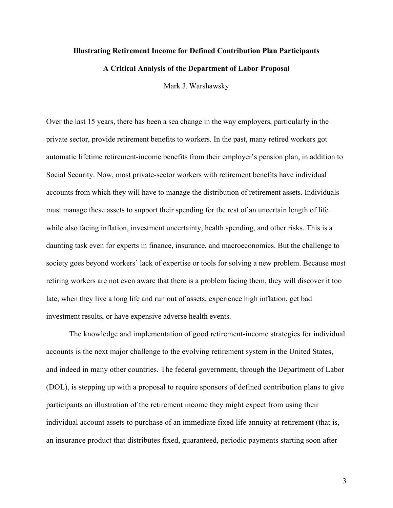#### **Illustrating Retirement Income for Defined Contribution Plan Participants**

#### **A Critical Analysis of the Department of Labor Proposal**

Mark J. Warshawsky

Over the last 15 years, there has been a sea change in the way employers, particularly in the private sector, provide retirement benefits to workers. In the past, many retired workers got automatic lifetime retirement-income benefits from their employer's pension plan, in addition to Social Security. Now, most private-sector workers with retirement benefits have individual accounts from which they will have to manage the distribution of retirement assets. Individuals must manage these assets to support their spending for the rest of an uncertain length of life while also facing inflation, investment uncertainty, health spending, and other risks. This is a daunting task even for experts in finance, insurance, and macroeconomics. But the challenge to society goes beyond workers' lack of expertise or tools for solving a new problem. Because most retiring workers are not even aware that there is a problem facing them, they will discover it too late, when they live a long life and run out of assets, experience high inflation, get bad investment results, or have expensive adverse health events.

The knowledge and implementation of good retirement-income strategies for individual accounts is the next major challenge to the evolving retirement system in the United States, and indeed in many other countries. The federal government, through the Department of Labor (DOL), is stepping up with a proposal to require sponsors of defined contribution plans to give participants an illustration of the retirement income they might expect from using their individual account assets to purchase of an immediate fixed life annuity at retirement (that is, an insurance product that distributes fixed, guaranteed, periodic payments starting soon after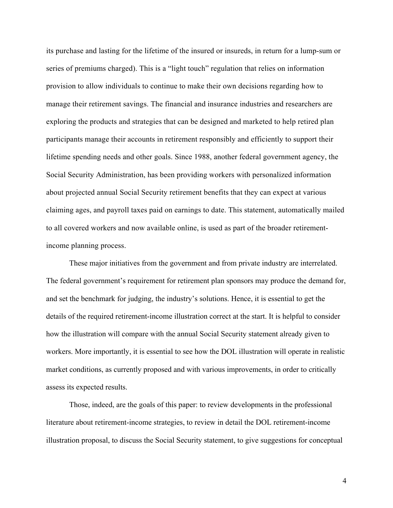its purchase and lasting for the lifetime of the insured or insureds, in return for a lump-sum or series of premiums charged). This is a "light touch" regulation that relies on information provision to allow individuals to continue to make their own decisions regarding how to manage their retirement savings. The financial and insurance industries and researchers are exploring the products and strategies that can be designed and marketed to help retired plan participants manage their accounts in retirement responsibly and efficiently to support their lifetime spending needs and other goals. Since 1988, another federal government agency, the Social Security Administration, has been providing workers with personalized information about projected annual Social Security retirement benefits that they can expect at various claiming ages, and payroll taxes paid on earnings to date. This statement, automatically mailed to all covered workers and now available online, is used as part of the broader retirementincome planning process.

These major initiatives from the government and from private industry are interrelated. The federal government's requirement for retirement plan sponsors may produce the demand for, and set the benchmark for judging, the industry's solutions. Hence, it is essential to get the details of the required retirement-income illustration correct at the start. It is helpful to consider how the illustration will compare with the annual Social Security statement already given to workers. More importantly, it is essential to see how the DOL illustration will operate in realistic market conditions, as currently proposed and with various improvements, in order to critically assess its expected results.

Those, indeed, are the goals of this paper: to review developments in the professional literature about retirement-income strategies, to review in detail the DOL retirement-income illustration proposal, to discuss the Social Security statement, to give suggestions for conceptual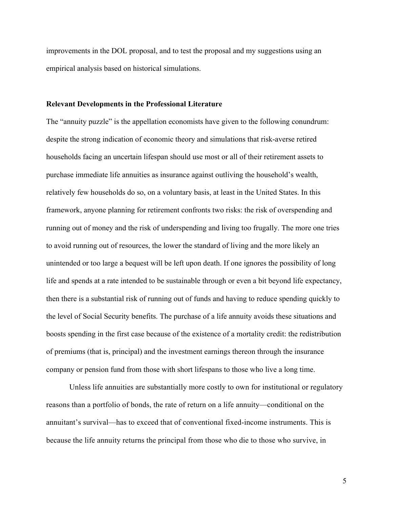improvements in the DOL proposal, and to test the proposal and my suggestions using an empirical analysis based on historical simulations.

## **Relevant Developments in the Professional Literature**

The "annuity puzzle" is the appellation economists have given to the following conundrum: despite the strong indication of economic theory and simulations that risk-averse retired households facing an uncertain lifespan should use most or all of their retirement assets to purchase immediate life annuities as insurance against outliving the household's wealth, relatively few households do so, on a voluntary basis, at least in the United States. In this framework, anyone planning for retirement confronts two risks: the risk of overspending and running out of money and the risk of underspending and living too frugally. The more one tries to avoid running out of resources, the lower the standard of living and the more likely an unintended or too large a bequest will be left upon death. If one ignores the possibility of long life and spends at a rate intended to be sustainable through or even a bit beyond life expectancy, then there is a substantial risk of running out of funds and having to reduce spending quickly to the level of Social Security benefits. The purchase of a life annuity avoids these situations and boosts spending in the first case because of the existence of a mortality credit: the redistribution of premiums (that is, principal) and the investment earnings thereon through the insurance company or pension fund from those with short lifespans to those who live a long time.

Unless life annuities are substantially more costly to own for institutional or regulatory reasons than a portfolio of bonds, the rate of return on a life annuity—conditional on the annuitant's survival—has to exceed that of conventional fixed-income instruments. This is because the life annuity returns the principal from those who die to those who survive, in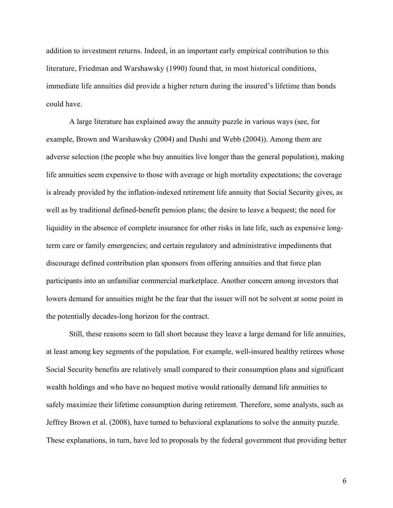addition to investment returns. Indeed, in an important early empirical contribution to this literature, Friedman and Warshawsky (1990) found that, in most historical conditions, immediate life annuities did provide a higher return during the insured's lifetime than bonds could have.

A large literature has explained away the annuity puzzle in various ways (see, for example, Brown and Warshawsky (2004) and Dushi and Webb (2004)). Among them are adverse selection (the people who buy annuities live longer than the general population), making life annuities seem expensive to those with average or high mortality expectations; the coverage is already provided by the inflation-indexed retirement life annuity that Social Security gives, as well as by traditional defined-benefit pension plans; the desire to leave a bequest; the need for liquidity in the absence of complete insurance for other risks in late life, such as expensive longterm care or family emergencies; and certain regulatory and administrative impediments that discourage defined contribution plan sponsors from offering annuities and that force plan participants into an unfamiliar commercial marketplace. Another concern among investors that lowers demand for annuities might be the fear that the issuer will not be solvent at some point in the potentially decades-long horizon for the contract.

Still, these reasons seem to fall short because they leave a large demand for life annuities, at least among key segments of the population. For example, well-insured healthy retirees whose Social Security benefits are relatively small compared to their consumption plans and significant wealth holdings and who have no bequest motive would rationally demand life annuities to safely maximize their lifetime consumption during retirement. Therefore, some analysts, such as Jeffrey Brown et al. (2008), have turned to behavioral explanations to solve the annuity puzzle. These explanations, in turn, have led to proposals by the federal government that providing better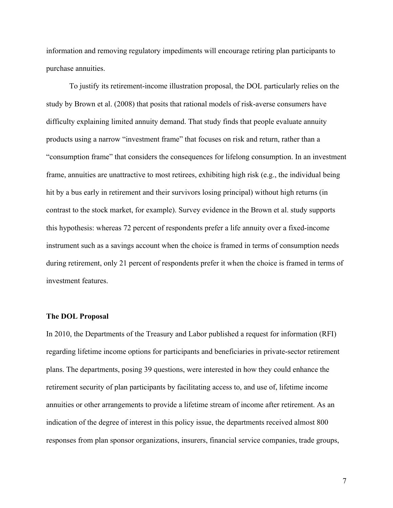information and removing regulatory impediments will encourage retiring plan participants to purchase annuities.

To justify its retirement-income illustration proposal, the DOL particularly relies on the study by Brown et al. (2008) that posits that rational models of risk-averse consumers have difficulty explaining limited annuity demand. That study finds that people evaluate annuity products using a narrow "investment frame" that focuses on risk and return, rather than a "consumption frame" that considers the consequences for lifelong consumption. In an investment frame, annuities are unattractive to most retirees, exhibiting high risk (e.g., the individual being hit by a bus early in retirement and their survivors losing principal) without high returns (in contrast to the stock market, for example). Survey evidence in the Brown et al. study supports this hypothesis: whereas 72 percent of respondents prefer a life annuity over a fixed-income instrument such as a savings account when the choice is framed in terms of consumption needs during retirement, only 21 percent of respondents prefer it when the choice is framed in terms of investment features.

#### **The DOL Proposal**

In 2010, the Departments of the Treasury and Labor published a request for information (RFI) regarding lifetime income options for participants and beneficiaries in private-sector retirement plans. The departments, posing 39 questions, were interested in how they could enhance the retirement security of plan participants by facilitating access to, and use of, lifetime income annuities or other arrangements to provide a lifetime stream of income after retirement. As an indication of the degree of interest in this policy issue, the departments received almost 800 responses from plan sponsor organizations, insurers, financial service companies, trade groups,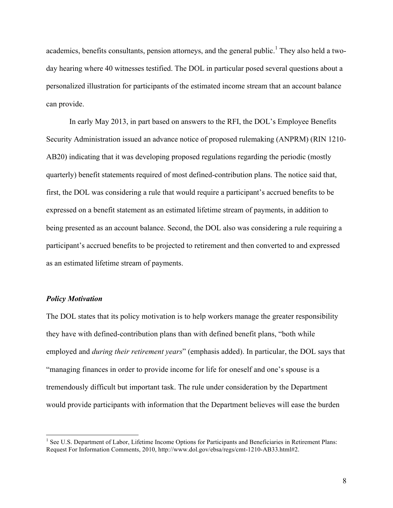academics, benefits consultants, pension attorneys, and the general public.<sup>1</sup> They also held a twoday hearing where 40 witnesses testified. The DOL in particular posed several questions about a personalized illustration for participants of the estimated income stream that an account balance can provide.

In early May 2013, in part based on answers to the RFI, the DOL's Employee Benefits Security Administration issued an advance notice of proposed rulemaking (ANPRM) (RIN 1210- AB20) indicating that it was developing proposed regulations regarding the periodic (mostly quarterly) benefit statements required of most defined-contribution plans. The notice said that, first, the DOL was considering a rule that would require a participant's accrued benefits to be expressed on a benefit statement as an estimated lifetime stream of payments, in addition to being presented as an account balance. Second, the DOL also was considering a rule requiring a participant's accrued benefits to be projected to retirement and then converted to and expressed as an estimated lifetime stream of payments.

## *Policy Motivation*

<u> 1989 - Johann Stein, markin film yn y breninn y breninn y breninn y breninn y breninn y breninn y breninn y b</u>

The DOL states that its policy motivation is to help workers manage the greater responsibility they have with defined-contribution plans than with defined benefit plans, "both while employed and *during their retirement years*" (emphasis added). In particular, the DOL says that "managing finances in order to provide income for life for oneself and one's spouse is a tremendously difficult but important task. The rule under consideration by the Department would provide participants with information that the Department believes will ease the burden

<sup>&</sup>lt;sup>1</sup> See U.S. Department of Labor, Lifetime Income Options for Participants and Beneficiaries in Retirement Plans: Request For Information Comments, 2010,<http://www.dol.gov/ebsa/regs/cmt-1210-AB33.html#2>.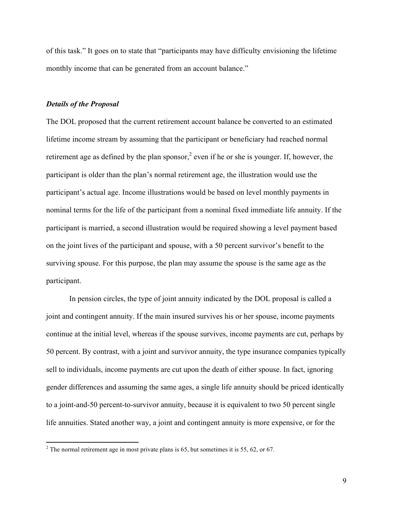of this task." It goes on to state that "participants may have difficulty envisioning the lifetime monthly income that can be generated from an account balance."

## *Details of the Proposal*

The DOL proposed that the current retirement account balance be converted to an estimated lifetime income stream by assuming that the participant or beneficiary had reached normal retirement age as defined by the plan sponsor,<sup>2</sup> even if he or she is younger. If, however, the participant is older than the plan's normal retirement age, the illustration would use the participant's actual age. Income illustrations would be based on level monthly payments in nominal terms for the life of the participant from a nominal fixed immediate life annuity. If the participant is married, a second illustration would be required showing a level payment based on the joint lives of the participant and spouse, with a 50 percent survivor's benefit to the surviving spouse. For this purpose, the plan may assume the spouse is the same age as the participant.

In pension circles, the type of joint annuity indicated by the DOL proposal is called a joint and contingent annuity. If the main insured survives his or her spouse, income payments continue at the initial level, whereas if the spouse survives, income payments are cut, perhaps by 50 percent. By contrast, with a joint and survivor annuity, the type insurance companies typically sell to individuals, income payments are cut upon the death of either spouse. In fact, ignoring gender differences and assuming the same ages, a single life annuity should be priced identically to a joint-and-50 percent-to-survivor annuity, because it is equivalent to two 50 percent single life annuities. Stated another way, a joint and contingent annuity is more expensive, or for the

<u> 1989 - Johann Stein, markin film yn y breninn y breninn y breninn y breninn y breninn y breninn y breninn y b</u>

<sup>&</sup>lt;sup>2</sup> The normal retirement age in most private plans is 65, but sometimes it is 55, 62, or 67.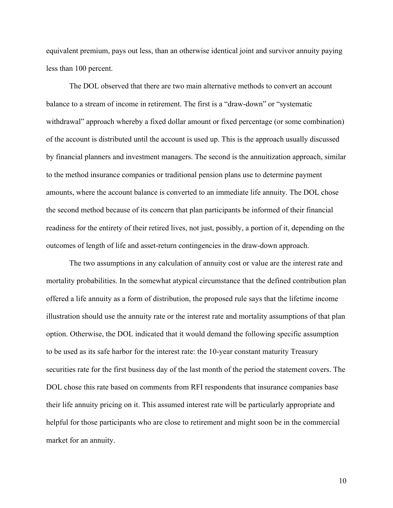equivalent premium, pays out less, than an otherwise identical joint and survivor annuity paying less than 100 percent.

The DOL observed that there are two main alternative methods to convert an account balance to a stream of income in retirement. The first is a "draw-down" or "systematic withdrawal" approach whereby a fixed dollar amount or fixed percentage (or some combination) of the account is distributed until the account is used up. This is the approach usually discussed by financial planners and investment managers. The second is the annuitization approach, similar to the method insurance companies or traditional pension plans use to determine payment amounts, where the account balance is converted to an immediate life annuity. The DOL chose the second method because of its concern that plan participants be informed of their financial readiness for the entirety of their retired lives, not just, possibly, a portion of it, depending on the outcomes of length of life and asset-return contingencies in the draw-down approach.

The two assumptions in any calculation of annuity cost or value are the interest rate and mortality probabilities. In the somewhat atypical circumstance that the defined contribution plan offered a life annuity as a form of distribution, the proposed rule says that the lifetime income illustration should use the annuity rate or the interest rate and mortality assumptions of that plan option. Otherwise, the DOL indicated that it would demand the following specific assumption to be used as its safe harbor for the interest rate: the 10-year constant maturity Treasury securities rate for the first business day of the last month of the period the statement covers. The DOL chose this rate based on comments from RFI respondents that insurance companies base their life annuity pricing on it. This assumed interest rate will be particularly appropriate and helpful for those participants who are close to retirement and might soon be in the commercial market for an annuity.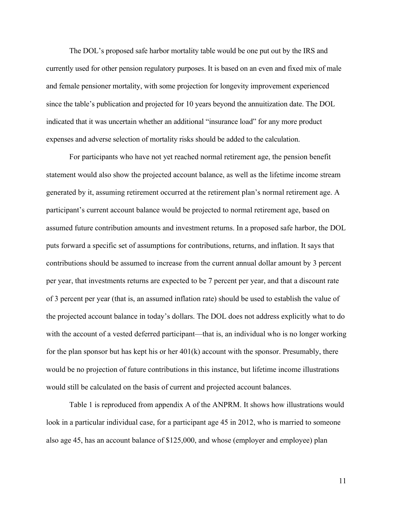The DOL's proposed safe harbor mortality table would be one put out by the IRS and currently used for other pension regulatory purposes. It is based on an even and fixed mix of male and female pensioner mortality, with some projection for longevity improvement experienced since the table's publication and projected for 10 years beyond the annuitization date. The DOL indicated that it was uncertain whether an additional "insurance load" for any more product expenses and adverse selection of mortality risks should be added to the calculation.

For participants who have not yet reached normal retirement age, the pension benefit statement would also show the projected account balance, as well as the lifetime income stream generated by it, assuming retirement occurred at the retirement plan's normal retirement age. A participant's current account balance would be projected to normal retirement age, based on assumed future contribution amounts and investment returns. In a proposed safe harbor, the DOL puts forward a specific set of assumptions for contributions, returns, and inflation. It says that contributions should be assumed to increase from the current annual dollar amount by 3 percent per year, that investments returns are expected to be 7 percent per year, and that a discount rate of 3 percent per year (that is, an assumed inflation rate) should be used to establish the value of the projected account balance in today's dollars. The DOL does not address explicitly what to do with the account of a vested deferred participant—that is, an individual who is no longer working for the plan sponsor but has kept his or her  $401(k)$  account with the sponsor. Presumably, there would be no projection of future contributions in this instance, but lifetime income illustrations would still be calculated on the basis of current and projected account balances.

Table 1 is reproduced from appendix A of the ANPRM. It shows how illustrations would look in a particular individual case, for a participant age 45 in 2012, who is married to someone also age 45, has an account balance of \$125,000, and whose (employer and employee) plan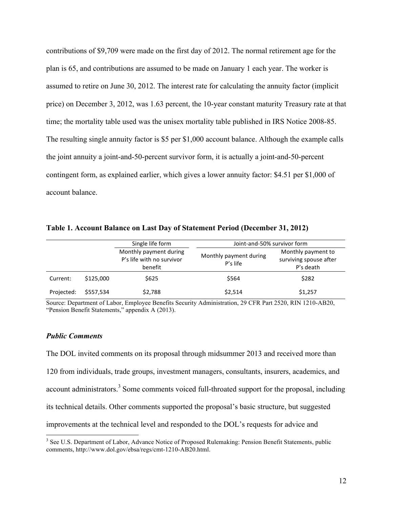contributions of \$9,709 were made on the first day of 2012. The normal retirement age for the plan is 65, and contributions are assumed to be made on January 1 each year. The worker is assumed to retire on June 30, 2012. The interest rate for calculating the annuity factor (implicit price) on December 3, 2012, was 1.63 percent, the 10-year constant maturity Treasury rate at that time; the mortality table used was the unisex mortality table published in IRS Notice 2008-85. The resulting single annuity factor is \$5 per \$1,000 account balance. Although the example calls the joint annuity a joint-and-50-percent survivor form, it is actually a joint-and-50-percent contingent form, as explained earlier, which gives a lower annuity factor: \$4.51 per \$1,000 of account balance.

| Table 1. Account Balance on Last Day of Statement Period (December 31, 2012) |  |  |  |
|------------------------------------------------------------------------------|--|--|--|
|------------------------------------------------------------------------------|--|--|--|

|            |           | Single life form                                               | Joint-and-50% survivor form          |                                                           |
|------------|-----------|----------------------------------------------------------------|--------------------------------------|-----------------------------------------------------------|
|            |           | Monthly payment during<br>P's life with no survivor<br>benefit | Monthly payment during<br>$P's$ life | Monthly payment to<br>surviving spouse after<br>P's death |
| Current:   | \$125,000 | \$625                                                          | \$564                                | \$282                                                     |
| Projected: | \$557.534 | \$2,788                                                        | \$2,514                              | \$1,257                                                   |

Source: Department of Labor, Employee Benefits Security Administration, 29 CFR Part 2520, RIN 1210-AB20, "Pension Benefit Statements," appendix A (2013).

#### *Public Comments*

<u> 1989 - Johann Stein, markin film yn y breninn y breninn y breninn y breninn y breninn y breninn y breninn y b</u>

The DOL invited comments on its proposal through midsummer 2013 and received more than 120 from individuals, trade groups, investment managers, consultants, insurers, academics, and account administrators.<sup>3</sup> Some comments voiced full-throated support for the proposal, including its technical details. Other comments supported the proposal's basic structure, but suggested improvements at the technical level and responded to the DOL's requests for advice and

<sup>&</sup>lt;sup>3</sup> See U.S. Department of Labor, Advance Notice of Proposed Rulemaking: Pension Benefit Statements, public comments, [http://www.dol.gov/ebsa/regs/cmt-1210-AB20.html.](http://www.dol.gov/ebsa/regs/cmt-1210-AB20.html)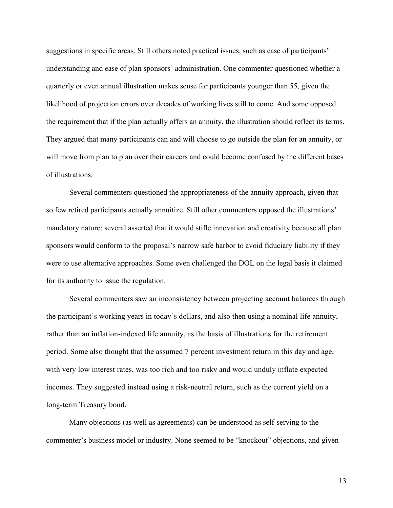suggestions in specific areas. Still others noted practical issues, such as ease of participants' understanding and ease of plan sponsors' administration. One commenter questioned whether a quarterly or even annual illustration makes sense for participants younger than 55, given the likelihood of projection errors over decades of working lives still to come. And some opposed the requirement that if the plan actually offers an annuity, the illustration should reflect its terms. They argued that many participants can and will choose to go outside the plan for an annuity, or will move from plan to plan over their careers and could become confused by the different bases of illustrations.

Several commenters questioned the appropriateness of the annuity approach, given that so few retired participants actually annuitize. Still other commenters opposed the illustrations' mandatory nature; several asserted that it would stifle innovation and creativity because all plan sponsors would conform to the proposal's narrow safe harbor to avoid fiduciary liability if they were to use alternative approaches. Some even challenged the DOL on the legal basis it claimed for its authority to issue the regulation.

Several commenters saw an inconsistency between projecting account balances through the participant's working years in today's dollars, and also then using a nominal life annuity, rather than an inflation-indexed life annuity, as the basis of illustrations for the retirement period. Some also thought that the assumed 7 percent investment return in this day and age, with very low interest rates, was too rich and too risky and would unduly inflate expected incomes. They suggested instead using a risk-neutral return, such as the current yield on a long-term Treasury bond.

Many objections (as well as agreements) can be understood as self-serving to the commenter's business model or industry. None seemed to be "knockout" objections, and given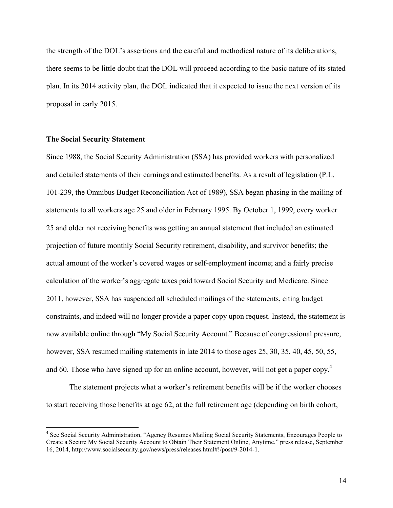the strength of the DOL's assertions and the careful and methodical nature of its deliberations, there seems to be little doubt that the DOL will proceed according to the basic nature of its stated plan. In its 2014 activity plan, the DOL indicated that it expected to issue the next version of its proposal in early 2015.

## **The Social Security Statement**

<u> 1989 - Johann Stein, markin film yn y breninn y breninn y breninn y breninn y breninn y breninn y breninn y b</u>

Since 1988, the Social Security Administration (SSA) has provided workers with personalized and detailed statements of their earnings and estimated benefits. As a result of legislation (P.L. 101-239, the Omnibus Budget Reconciliation Act of 1989), SSA began phasing in the mailing of statements to all workers age 25 and older in February 1995. By October 1, 1999, every worker 25 and older not receiving benefits was getting an annual statement that included an estimated projection of future monthly Social Security retirement, disability, and survivor benefits; the actual amount of the worker's covered wages or self-employment income; and a fairly precise calculation of the worker's aggregate taxes paid toward Social Security and Medicare. Since 2011, however, SSA has suspended all scheduled mailings of the statements, citing budget constraints, and indeed will no longer provide a paper copy upon request. Instead, the statement is now available online through "My Social Security Account." Because of congressional pressure, however, SSA resumed mailing statements in late 2014 to those ages 25, 30, 35, 40, 45, 50, 55, and 60. Those who have signed up for an online account, however, will not get a paper copy.<sup>4</sup>

The statement projects what a worker's retirement benefits will be if the worker chooses to start receiving those benefits at age 62, at the full retirement age (depending on birth cohort,

<sup>4</sup> See Social Security Administration, "Agency Resumes Mailing Social Security Statements, Encourages People to Create a Secure My Social Security Account to Obtain Their Statement Online, Anytime," press release, September 16, 2014,<http://www.socialsecurity.gov/news/press/releases.html#!/post/9-2014-1>.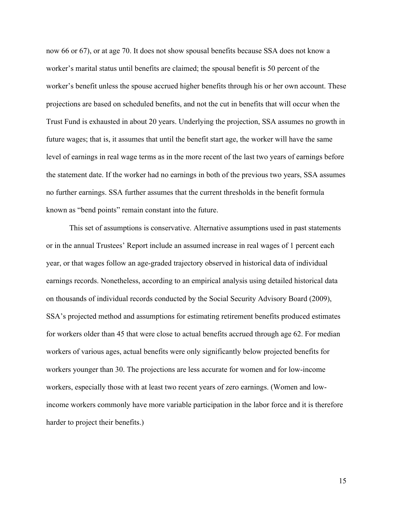now 66 or 67), or at age 70. It does not show spousal benefits because SSA does not know a worker's marital status until benefits are claimed; the spousal benefit is 50 percent of the worker's benefit unless the spouse accrued higher benefits through his or her own account. These projections are based on scheduled benefits, and not the cut in benefits that will occur when the Trust Fund is exhausted in about 20 years. Underlying the projection, SSA assumes no growth in future wages; that is, it assumes that until the benefit start age, the worker will have the same level of earnings in real wage terms as in the more recent of the last two years of earnings before the statement date. If the worker had no earnings in both of the previous two years, SSA assumes no further earnings. SSA further assumes that the current thresholds in the benefit formula known as "bend points" remain constant into the future.

This set of assumptions is conservative. Alternative assumptions used in past statements or in the annual Trustees' Report include an assumed increase in real wages of 1 percent each year, or that wages follow an age-graded trajectory observed in historical data of individual earnings records. Nonetheless, according to an empirical analysis using detailed historical data on thousands of individual records conducted by the Social Security Advisory Board (2009), SSA's projected method and assumptions for estimating retirement benefits produced estimates for workers older than 45 that were close to actual benefits accrued through age 62. For median workers of various ages, actual benefits were only significantly below projected benefits for workers younger than 30. The projections are less accurate for women and for low-income workers, especially those with at least two recent years of zero earnings. (Women and lowincome workers commonly have more variable participation in the labor force and it is therefore harder to project their benefits.)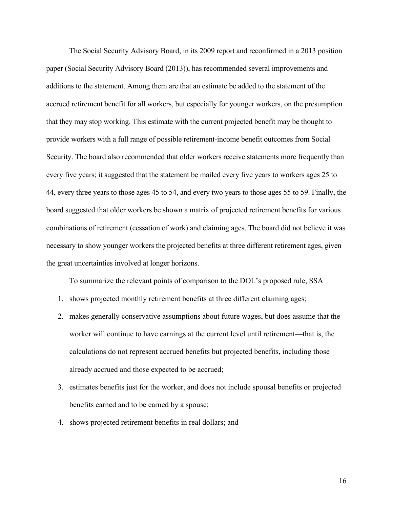The Social Security Advisory Board, in its 2009 report and reconfirmed in a 2013 position paper (Social Security Advisory Board (2013)), has recommended several improvements and additions to the statement. Among them are that an estimate be added to the statement of the accrued retirement benefit for all workers, but especially for younger workers, on the presumption that they may stop working. This estimate with the current projected benefit may be thought to provide workers with a full range of possible retirement-income benefit outcomes from Social Security. The board also recommended that older workers receive statements more frequently than every five years; it suggested that the statement be mailed every five years to workers ages 25 to 44, every three years to those ages 45 to 54, and every two years to those ages 55 to 59. Finally, the board suggested that older workers be shown a matrix of projected retirement benefits for various combinations of retirement (cessation of work) and claiming ages. The board did not believe it was necessary to show younger workers the projected benefits at three different retirement ages, given the great uncertainties involved at longer horizons.

To summarize the relevant points of comparison to the DOL's proposed rule, SSA

- 1. shows projected monthly retirement benefits at three different claiming ages;
- 2. makes generally conservative assumptions about future wages, but does assume that the worker will continue to have earnings at the current level until retirement—that is, the calculations do not represent accrued benefits but projected benefits, including those already accrued and those expected to be accrued;
- 3. estimates benefits just for the worker, and does not include spousal benefits or projected benefits earned and to be earned by a spouse;
- 4. shows projected retirement benefits in real dollars; and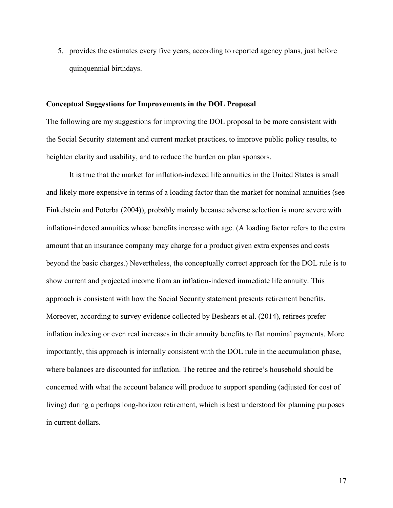5. provides the estimates every five years, according to reported agency plans, just before quinquennial birthdays.

#### **Conceptual Suggestions for Improvements in the DOL Proposal**

The following are my suggestions for improving the DOL proposal to be more consistent with the Social Security statement and current market practices, to improve public policy results, to heighten clarity and usability, and to reduce the burden on plan sponsors.

It is true that the market for inflation-indexed life annuities in the United States is small and likely more expensive in terms of a loading factor than the market for nominal annuities (see Finkelstein and Poterba (2004)), probably mainly because adverse selection is more severe with inflation-indexed annuities whose benefits increase with age. (A loading factor refers to the extra amount that an insurance company may charge for a product given extra expenses and costs beyond the basic charges.) Nevertheless, the conceptually correct approach for the DOL rule is to show current and projected income from an inflation-indexed immediate life annuity. This approach is consistent with how the Social Security statement presents retirement benefits. Moreover, according to survey evidence collected by Beshears et al. (2014), retirees prefer inflation indexing or even real increases in their annuity benefits to flat nominal payments. More importantly, this approach is internally consistent with the DOL rule in the accumulation phase, where balances are discounted for inflation. The retiree and the retiree's household should be concerned with what the account balance will produce to support spending (adjusted for cost of living) during a perhaps long-horizon retirement, which is best understood for planning purposes in current dollars.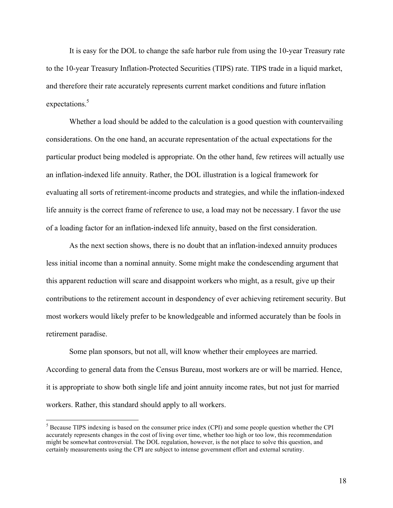It is easy for the DOL to change the safe harbor rule from using the 10-year Treasury rate to the 10-year Treasury Inflation-Protected Securities (TIPS) rate. TIPS trade in a liquid market, and therefore their rate accurately represents current market conditions and future inflation expectations. 5

Whether a load should be added to the calculation is a good question with countervailing considerations. On the one hand, an accurate representation of the actual expectations for the particular product being modeled is appropriate. On the other hand, few retirees will actually use an inflation-indexed life annuity. Rather, the DOL illustration is a logical framework for evaluating all sorts of retirement-income products and strategies, and while the inflation-indexed life annuity is the correct frame of reference to use, a load may not be necessary. I favor the use of a loading factor for an inflation-indexed life annuity, based on the first consideration.

As the next section shows, there is no doubt that an inflation-indexed annuity produces less initial income than a nominal annuity. Some might make the condescending argument that this apparent reduction will scare and disappoint workers who might, as a result, give up their contributions to the retirement account in despondency of ever achieving retirement security. But most workers would likely prefer to be knowledgeable and informed accurately than be fools in retirement paradise.

Some plan sponsors, but not all, will know whether their employees are married. According to general data from the Census Bureau, most workers are or will be married. Hence, it is appropriate to show both single life and joint annuity income rates, but not just for married workers. Rather, this standard should apply to all workers.

<u> 1989 - Johann Stein, markin film yn y breninn y breninn y breninn y breninn y breninn y breninn y breninn y b</u>

<sup>&</sup>lt;sup>5</sup> Because TIPS indexing is based on the consumer price index (CPI) and some people question whether the CPI accurately represents changes in the cost of living over time, whether too high or too low, this recommendation might be somewhat controversial. The DOL regulation, however, is the not place to solve this question, and certainly measurements using the CPI are subject to intense government effort and external scrutiny.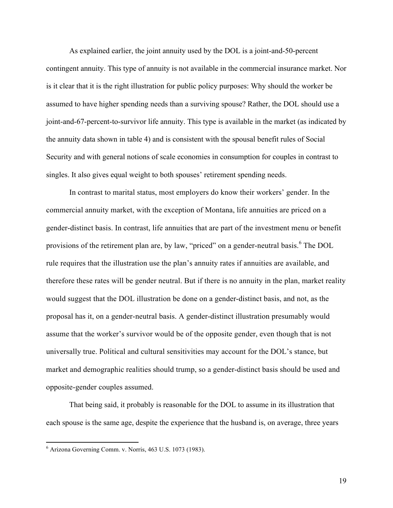As explained earlier, the joint annuity used by the DOL is a joint-and-50-percent contingent annuity. This type of annuity is not available in the commercial insurance market. Nor is it clear that it is the right illustration for public policy purposes: Why should the worker be assumed to have higher spending needs than a surviving spouse? Rather, the DOL should use a joint-and-67-percent-to-survivor life annuity. This type is available in the market (as indicated by the annuity data shown in table 4) and is consistent with the spousal benefit rules of Social Security and with general notions of scale economies in consumption for couples in contrast to singles. It also gives equal weight to both spouses' retirement spending needs.

In contrast to marital status, most employers do know their workers' gender. In the commercial annuity market, with the exception of Montana, life annuities are priced on a gender-distinct basis. In contrast, life annuities that are part of the investment menu or benefit provisions of the retirement plan are, by law, "priced" on a gender-neutral basis.<sup>6</sup> The DOL rule requires that the illustration use the plan's annuity rates if annuities are available, and therefore these rates will be gender neutral. But if there is no annuity in the plan, market reality would suggest that the DOL illustration be done on a gender-distinct basis, and not, as the proposal has it, on a gender-neutral basis. A gender-distinct illustration presumably would assume that the worker's survivor would be of the opposite gender, even though that is not universally true. Political and cultural sensitivities may account for the DOL's stance, but market and demographic realities should trump, so a gender-distinct basis should be used and opposite-gender couples assumed.

That being said, it probably is reasonable for the DOL to assume in its illustration that each spouse is the same age, despite the experience that the husband is, on average, three years

<u> 1989 - Johann Stein, markin film yn y breninn y breninn y breninn y breninn y breninn y breninn y breninn y b</u>

 $6$  Arizona Governing Comm. v. Norris, 463 U.S. 1073 (1983).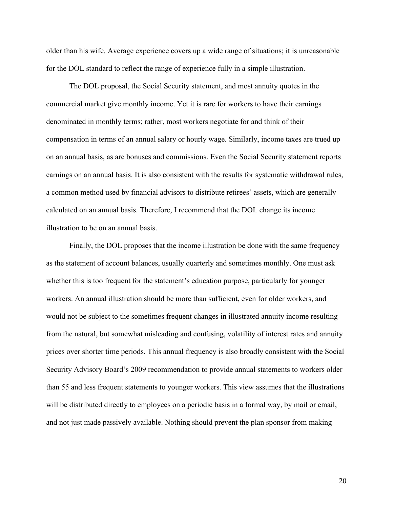older than his wife. Average experience covers up a wide range of situations; it is unreasonable for the DOL standard to reflect the range of experience fully in a simple illustration.

The DOL proposal, the Social Security statement, and most annuity quotes in the commercial market give monthly income. Yet it is rare for workers to have their earnings denominated in monthly terms; rather, most workers negotiate for and think of their compensation in terms of an annual salary or hourly wage. Similarly, income taxes are trued up on an annual basis, as are bonuses and commissions. Even the Social Security statement reports earnings on an annual basis. It is also consistent with the results for systematic withdrawal rules, a common method used by financial advisors to distribute retirees' assets, which are generally calculated on an annual basis. Therefore, I recommend that the DOL change its income illustration to be on an annual basis.

Finally, the DOL proposes that the income illustration be done with the same frequency as the statement of account balances, usually quarterly and sometimes monthly. One must ask whether this is too frequent for the statement's education purpose, particularly for younger workers. An annual illustration should be more than sufficient, even for older workers, and would not be subject to the sometimes frequent changes in illustrated annuity income resulting from the natural, but somewhat misleading and confusing, volatility of interest rates and annuity prices over shorter time periods. This annual frequency is also broadly consistent with the Social Security Advisory Board's 2009 recommendation to provide annual statements to workers older than 55 and less frequent statements to younger workers. This view assumes that the illustrations will be distributed directly to employees on a periodic basis in a formal way, by mail or email, and not just made passively available. Nothing should prevent the plan sponsor from making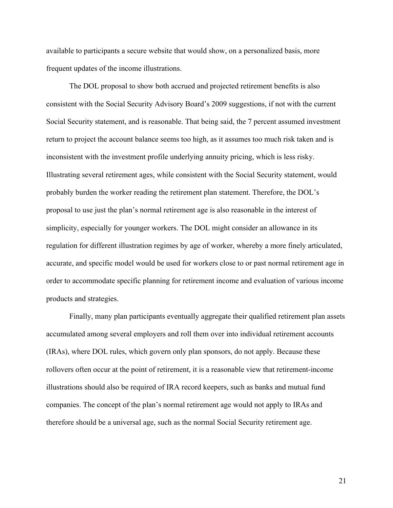available to participants a secure website that would show, on a personalized basis, more frequent updates of the income illustrations.

The DOL proposal to show both accrued and projected retirement benefits is also consistent with the Social Security Advisory Board's 2009 suggestions, if not with the current Social Security statement, and is reasonable. That being said, the 7 percent assumed investment return to project the account balance seems too high, as it assumes too much risk taken and is inconsistent with the investment profile underlying annuity pricing, which is less risky. Illustrating several retirement ages, while consistent with the Social Security statement, would probably burden the worker reading the retirement plan statement. Therefore, the DOL's proposal to use just the plan's normal retirement age is also reasonable in the interest of simplicity, especially for younger workers. The DOL might consider an allowance in its regulation for different illustration regimes by age of worker, whereby a more finely articulated, accurate, and specific model would be used for workers close to or past normal retirement age in order to accommodate specific planning for retirement income and evaluation of various income products and strategies.

Finally, many plan participants eventually aggregate their qualified retirement plan assets accumulated among several employers and roll them over into individual retirement accounts (IRAs), where DOL rules, which govern only plan sponsors, do not apply. Because these rollovers often occur at the point of retirement, it is a reasonable view that retirement-income illustrations should also be required of IRA record keepers, such as banks and mutual fund companies. The concept of the plan's normal retirement age would not apply to IRAs and therefore should be a universal age, such as the normal Social Security retirement age.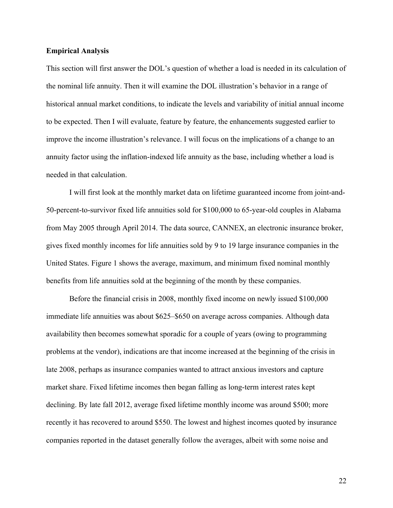#### **Empirical Analysis**

This section will first answer the DOL's question of whether a load is needed in its calculation of the nominal life annuity. Then it will examine the DOL illustration's behavior in a range of historical annual market conditions, to indicate the levels and variability of initial annual income to be expected. Then I will evaluate, feature by feature, the enhancements suggested earlier to improve the income illustration's relevance. I will focus on the implications of a change to an annuity factor using the inflation-indexed life annuity as the base, including whether a load is needed in that calculation.

I will first look at the monthly market data on lifetime guaranteed income from joint-and-50-percent-to-survivor fixed life annuities sold for \$100,000 to 65-year-old couples in Alabama from May 2005 through April 2014. The data source, CANNEX, an electronic insurance broker, gives fixed monthly incomes for life annuities sold by 9 to 19 large insurance companies in the United States. Figure 1 shows the average, maximum, and minimum fixed nominal monthly benefits from life annuities sold at the beginning of the month by these companies.

Before the financial crisis in 2008, monthly fixed income on newly issued \$100,000 immediate life annuities was about \$625–\$650 on average across companies. Although data availability then becomes somewhat sporadic for a couple of years (owing to programming problems at the vendor), indications are that income increased at the beginning of the crisis in late 2008, perhaps as insurance companies wanted to attract anxious investors and capture market share. Fixed lifetime incomes then began falling as long-term interest rates kept declining. By late fall 2012, average fixed lifetime monthly income was around \$500; more recently it has recovered to around \$550. The lowest and highest incomes quoted by insurance companies reported in the dataset generally follow the averages, albeit with some noise and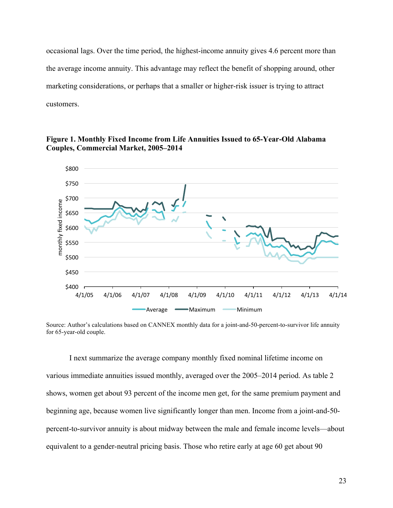occasional lags. Over the time period, the highest-income annuity gives 4.6 percent more than the average income annuity. This advantage may reflect the benefit of shopping around, other marketing considerations, or perhaps that a smaller or higher-risk issuer is trying to attract customers.

**Figure 1. Monthly Fixed Income from Life Annuities Issued to 65-Year-Old Alabama Couples, Commercial Market, 2005–2014**



Source: Author's calculations based on CANNEX monthly data for a joint-and-50-percent-to-survivor life annuity for 65-year-old couple.

I next summarize the average company monthly fixed nominal lifetime income on various immediate annuities issued monthly, averaged over the 2005–2014 period. As table 2 shows, women get about 93 percent of the income men get, for the same premium payment and beginning age, because women live significantly longer than men. Income from a joint-and-50 percent-to-survivor annuity is about midway between the male and female income levels—about equivalent to a gender-neutral pricing basis. Those who retire early at age 60 get about 90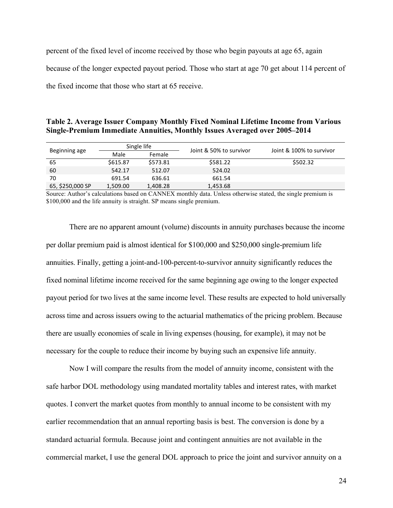percent of the fixed level of income received by those who begin payouts at age 65, again because of the longer expected payout period. Those who start at age 70 get about 114 percent of the fixed income that those who start at 65 receive.

| Table 2. Average Issuer Company Monthly Fixed Nominal Lifetime Income from Various |  |
|------------------------------------------------------------------------------------|--|
| Single-Premium Immediate Annuities, Monthly Issues Averaged over 2005–2014         |  |

| Beginning age    | Single life |          | Joint & 50% to survivor |                          |  |
|------------------|-------------|----------|-------------------------|--------------------------|--|
|                  | Male        | Female   |                         | Joint & 100% to survivor |  |
| 65               | \$615.87    | \$573.81 | \$581.22                | \$502.32                 |  |
| 60               | 542.17      | 512.07   | 524.02                  |                          |  |
| 70               | 691.54      | 636.61   | 661.54                  |                          |  |
| 65, \$250,000 SP | 1,509.00    | 1,408.28 | 1,453.68                |                          |  |

Source: Author's calculations based on CANNEX monthly data. Unless otherwise stated, the single premium is \$100,000 and the life annuity is straight. SP means single premium.

There are no apparent amount (volume) discounts in annuity purchases because the income per dollar premium paid is almost identical for \$100,000 and \$250,000 single-premium life annuities. Finally, getting a joint-and-100-percent-to-survivor annuity significantly reduces the fixed nominal lifetime income received for the same beginning age owing to the longer expected payout period for two lives at the same income level. These results are expected to hold universally across time and across issuers owing to the actuarial mathematics of the pricing problem. Because there are usually economies of scale in living expenses (housing, for example), it may not be necessary for the couple to reduce their income by buying such an expensive life annuity.

Now I will compare the results from the model of annuity income, consistent with the safe harbor DOL methodology using mandated mortality tables and interest rates, with market quotes. I convert the market quotes from monthly to annual income to be consistent with my earlier recommendation that an annual reporting basis is best. The conversion is done by a standard actuarial formula. Because joint and contingent annuities are not available in the commercial market, I use the general DOL approach to price the joint and survivor annuity on a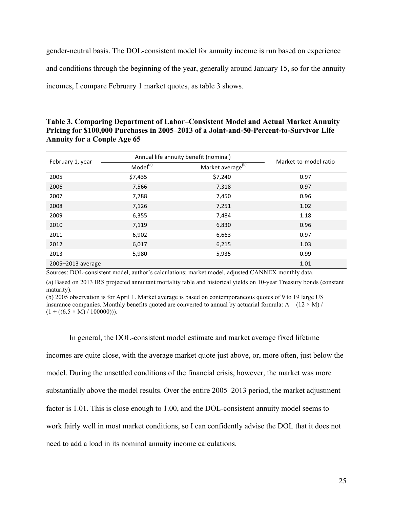gender-neutral basis. The DOL-consistent model for annuity income is run based on experience and conditions through the beginning of the year, generally around January 15, so for the annuity incomes, I compare February 1 market quotes, as table 3 shows.

| Table 3. Comparing Department of Labor–Consistent Model and Actual Market Annuity       |
|-----------------------------------------------------------------------------------------|
| Pricing for \$100,000 Purchases in 2005–2013 of a Joint-and-50-Percent-to-Survivor Life |
| <b>Annuity for a Couple Age 65</b>                                                      |

|                   | Annual life annuity benefit (nominal) |                               |                       |
|-------------------|---------------------------------------|-------------------------------|-----------------------|
| February 1, year  | Model <sup>(a)</sup>                  | Market average <sup>(b)</sup> | Market-to-model ratio |
| 2005              | \$7,435                               | \$7,240                       | 0.97                  |
| 2006              | 7,566                                 | 7,318                         | 0.97                  |
| 2007              | 7,788                                 | 7,450                         | 0.96                  |
| 2008              | 7,126                                 | 7,251                         | 1.02                  |
| 2009              | 6,355                                 | 7,484                         | 1.18                  |
| 2010              | 7,119                                 | 6,830                         | 0.96                  |
| 2011              | 6,902                                 | 6,663                         | 0.97                  |
| 2012              | 6,017                                 | 6,215                         | 1.03                  |
| 2013              | 5,980                                 | 5,935                         | 0.99                  |
| 2005-2013 average |                                       |                               | 1.01                  |

Sources: DOL-consistent model, author's calculations; market model, adjusted CANNEX monthly data.

(a) Based on 2013 IRS projected annuitant mortality table and historical yields on 10-year Treasury bonds (constant maturity).

(b) 2005 observation is for April 1. Market average is based on contemporaneous quotes of 9 to 19 large US insurance companies. Monthly benefits quoted are converted to annual by actuarial formula:  $A = (12 \times M)/$  $(1 + ((6.5 \times M) / 100000))$ .

In general, the DOL-consistent model estimate and market average fixed lifetime

incomes are quite close, with the average market quote just above, or, more often, just below the model. During the unsettled conditions of the financial crisis, however, the market was more substantially above the model results. Over the entire 2005–2013 period, the market adjustment factor is 1.01. This is close enough to 1.00, and the DOL-consistent annuity model seems to work fairly well in most market conditions, so I can confidently advise the DOL that it does not need to add a load in its nominal annuity income calculations.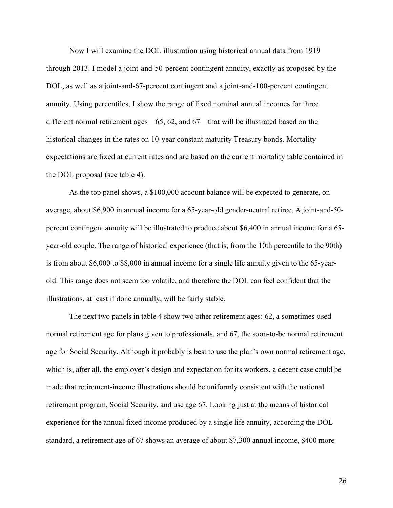Now I will examine the DOL illustration using historical annual data from 1919 through 2013. I model a joint-and-50-percent contingent annuity, exactly as proposed by the DOL, as well as a joint-and-67-percent contingent and a joint-and-100-percent contingent annuity. Using percentiles, I show the range of fixed nominal annual incomes for three different normal retirement ages—65, 62, and 67—that will be illustrated based on the historical changes in the rates on 10-year constant maturity Treasury bonds. Mortality expectations are fixed at current rates and are based on the current mortality table contained in the DOL proposal (see table 4).

As the top panel shows, a \$100,000 account balance will be expected to generate, on average, about \$6,900 in annual income for a 65-year-old gender-neutral retiree. A joint-and-50 percent contingent annuity will be illustrated to produce about \$6,400 in annual income for a 65 year-old couple. The range of historical experience (that is, from the 10th percentile to the 90th) is from about \$6,000 to \$8,000 in annual income for a single life annuity given to the 65-yearold. This range does not seem too volatile, and therefore the DOL can feel confident that the illustrations, at least if done annually, will be fairly stable.

The next two panels in table 4 show two other retirement ages: 62, a sometimes-used normal retirement age for plans given to professionals, and 67, the soon-to-be normal retirement age for Social Security. Although it probably is best to use the plan's own normal retirement age, which is, after all, the employer's design and expectation for its workers, a decent case could be made that retirement-income illustrations should be uniformly consistent with the national retirement program, Social Security, and use age 67. Looking just at the means of historical experience for the annual fixed income produced by a single life annuity, according the DOL standard, a retirement age of 67 shows an average of about \$7,300 annual income, \$400 more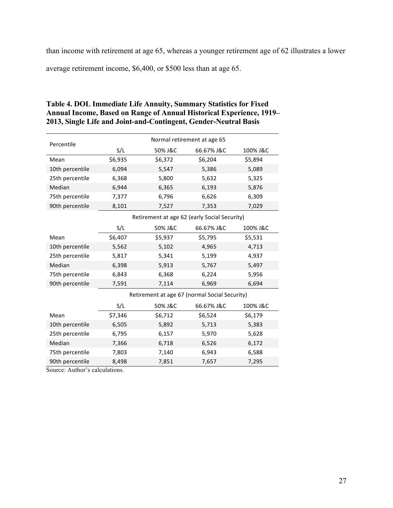than income with retirement at age 65, whereas a younger retirement age of 62 illustrates a lower

average retirement income, \$6,400, or \$500 less than at age 65.

| Percentile      |         |         | Normal retirement at age 65                   |          |  |
|-----------------|---------|---------|-----------------------------------------------|----------|--|
|                 | S/L     | 50% J&C | 66.67% J&C                                    | 100% J&C |  |
| Mean            | \$6,935 | \$6,372 | \$6,204                                       | \$5,894  |  |
| 10th percentile | 6,094   | 5,547   | 5,386                                         | 5,089    |  |
| 25th percentile | 6,368   | 5,800   | 5,632                                         | 5,325    |  |
| Median          | 6,944   | 6,365   | 6,193                                         | 5,876    |  |
| 75th percentile | 7,377   | 6,796   | 6,626                                         | 6,309    |  |
| 90th percentile | 8,101   | 7,527   | 7,353                                         | 7,029    |  |
|                 |         |         | Retirement at age 62 (early Social Security)  |          |  |
|                 | S/L     | 50% J&C | 66.67% J&C                                    | 100% J&C |  |
| Mean            | \$6,407 | \$5,937 | \$5,795                                       | \$5,531  |  |
| 10th percentile | 5,562   | 5,102   | 4,965                                         | 4,713    |  |
| 25th percentile | 5,817   | 5,341   | 5,199                                         | 4,937    |  |
| Median          | 6,398   | 5,913   | 5,767                                         | 5,497    |  |
| 75th percentile | 6,843   | 6,368   | 6,224                                         | 5,956    |  |
| 90th percentile | 7,591   | 7,114   | 6,969                                         | 6,694    |  |
|                 |         |         | Retirement at age 67 (normal Social Security) |          |  |
|                 | S/L     | 50% J&C | 66.67% J&C                                    | 100% J&C |  |
| Mean            | \$7,346 | \$6,712 | \$6,524                                       | \$6,179  |  |
| 10th percentile | 6,505   | 5,892   | 5,713                                         | 5,383    |  |
| 25th percentile | 6,795   | 6,157   | 5,970                                         | 5,628    |  |
| Median          | 7,366   | 6,718   | 6,526                                         | 6,172    |  |
| 75th percentile | 7,803   | 7,140   | 6,943                                         | 6,588    |  |
| 90th percentile | 8,498   | 7,851   | 7,657                                         | 7,295    |  |

| Table 4. DOL Immediate Life Annuity, Summary Statistics for Fixed           |
|-----------------------------------------------------------------------------|
| <b>Annual Income, Based on Range of Annual Historical Experience, 1919–</b> |
| 2013, Single Life and Joint-and-Contingent, Gender-Neutral Basis            |

Source: Author's calculations.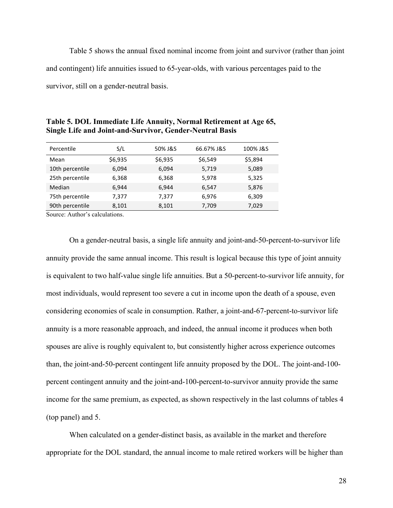Table 5 shows the annual fixed nominal income from joint and survivor (rather than joint and contingent) life annuities issued to 65-year-olds, with various percentages paid to the survivor, still on a gender-neutral basis.

| Percentile      | S/L     | 50% J&S | 66.67% J&S | 100% J&S |
|-----------------|---------|---------|------------|----------|
| Mean            | \$6,935 | \$6,935 | \$6,549    | \$5,894  |
| 10th percentile | 6,094   | 6,094   | 5,719      | 5,089    |
| 25th percentile | 6,368   | 6,368   | 5,978      | 5,325    |
| Median          | 6,944   | 6,944   | 6,547      | 5,876    |
| 75th percentile | 7,377   | 7.377   | 6,976      | 6,309    |
| 90th percentile | 8,101   | 8,101   | 7,709      | 7,029    |

**Table 5. DOL Immediate Life Annuity, Normal Retirement at Age 65, Single Life and Joint-and-Survivor, Gender-Neutral Basis**

Source: Author's calculations.

On a gender-neutral basis, a single life annuity and joint-and-50-percent-to-survivor life annuity provide the same annual income. This result is logical because this type of joint annuity is equivalent to two half-value single life annuities. But a 50-percent-to-survivor life annuity, for most individuals, would represent too severe a cut in income upon the death of a spouse, even considering economies of scale in consumption. Rather, a joint-and-67-percent-to-survivor life annuity is a more reasonable approach, and indeed, the annual income it produces when both spouses are alive is roughly equivalent to, but consistently higher across experience outcomes than, the joint-and-50-percent contingent life annuity proposed by the DOL. The joint-and-100 percent contingent annuity and the joint-and-100-percent-to-survivor annuity provide the same income for the same premium, as expected, as shown respectively in the last columns of tables 4 (top panel) and 5.

When calculated on a gender-distinct basis, as available in the market and therefore appropriate for the DOL standard, the annual income to male retired workers will be higher than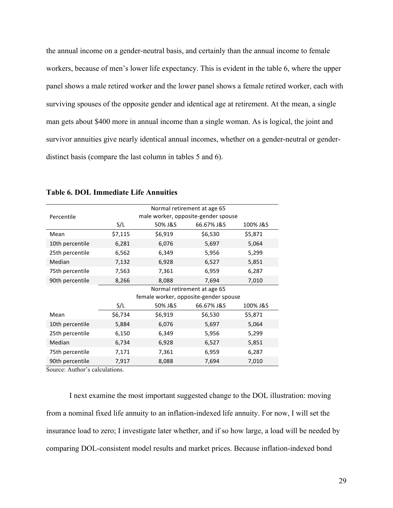the annual income on a gender-neutral basis, and certainly than the annual income to female workers, because of men's lower life expectancy. This is evident in the table 6, where the upper panel shows a male retired worker and the lower panel shows a female retired worker, each with surviving spouses of the opposite gender and identical age at retirement. At the mean, a single man gets about \$400 more in annual income than a single woman. As is logical, the joint and survivor annuities give nearly identical annual incomes, whether on a gender-neutral or genderdistinct basis (compare the last column in tables 5 and 6).

|                 | Normal retirement at age 65           |         |            |          |  |
|-----------------|---------------------------------------|---------|------------|----------|--|
| Percentile      | male worker, opposite-gender spouse   |         |            |          |  |
|                 | S/L                                   | 50% J&S | 66.67% J&S | 100% J&S |  |
| Mean            | \$7,115                               | \$6,919 | \$6,530    | \$5,871  |  |
| 10th percentile | 6,281                                 | 6,076   | 5,697      | 5,064    |  |
| 25th percentile | 6,562                                 | 6,349   | 5,956      | 5,299    |  |
| Median          | 7,132                                 | 6,928   | 6,527      | 5,851    |  |
| 75th percentile | 7,563                                 | 7,361   | 6,959      | 6,287    |  |
| 90th percentile | 8,266                                 | 8,088   | 7,694      | 7,010    |  |
|                 | Normal retirement at age 65           |         |            |          |  |
|                 | female worker, opposite-gender spouse |         |            |          |  |
|                 | S/L                                   | 50% J&S | 66.67% J&S | 100% J&S |  |
| Mean            | \$6,734                               | \$6,919 | \$6,530    | \$5,871  |  |
| 10th percentile | 5,884                                 | 6,076   | 5,697      | 5,064    |  |
| 25th percentile | 6,150                                 | 6,349   | 5,956      | 5,299    |  |
| Median          | 6,734                                 | 6,928   | 6,527      | 5,851    |  |
| 75th percentile | 7,171                                 | 7,361   | 6,959      | 6,287    |  |
| 90th percentile | 7,917                                 | 8,088   | 7,694      | 7,010    |  |

**Table 6. DOL Immediate Life Annuities**

Source: Author's calculations.

I next examine the most important suggested change to the DOL illustration: moving from a nominal fixed life annuity to an inflation-indexed life annuity. For now, I will set the insurance load to zero; I investigate later whether, and if so how large, a load will be needed by comparing DOL-consistent model results and market prices. Because inflation-indexed bond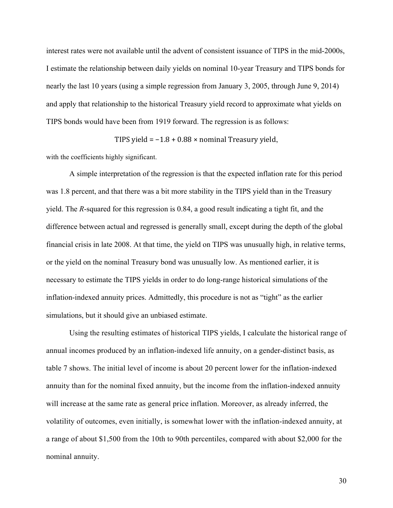interest rates were not available until the advent of consistent issuance of TIPS in the mid-2000s, I estimate the relationship between daily yields on nominal 10-year Treasury and TIPS bonds for nearly the last 10 years (using a simple regression from January 3, 2005, through June 9, 2014) and apply that relationship to the historical Treasury yield record to approximate what yields on TIPS bonds would have been from 1919 forward. The regression is as follows:

TIPS yield =  $-1.8 + 0.88 \times$  nominal Treasury yield,

with the coefficients highly significant.

A simple interpretation of the regression is that the expected inflation rate for this period was 1.8 percent, and that there was a bit more stability in the TIPS yield than in the Treasury yield. The *R*-squared for this regression is 0.84, a good result indicating a tight fit, and the difference between actual and regressed is generally small, except during the depth of the global financial crisis in late 2008. At that time, the yield on TIPS was unusually high, in relative terms, or the yield on the nominal Treasury bond was unusually low. As mentioned earlier, it is necessary to estimate the TIPS yields in order to do long-range historical simulations of the inflation-indexed annuity prices. Admittedly, this procedure is not as "tight" as the earlier simulations, but it should give an unbiased estimate.

Using the resulting estimates of historical TIPS yields, I calculate the historical range of annual incomes produced by an inflation-indexed life annuity, on a gender-distinct basis, as table 7 shows. The initial level of income is about 20 percent lower for the inflation-indexed annuity than for the nominal fixed annuity, but the income from the inflation-indexed annuity will increase at the same rate as general price inflation. Moreover, as already inferred, the volatility of outcomes, even initially, is somewhat lower with the inflation-indexed annuity, at a range of about \$1,500 from the 10th to 90th percentiles, compared with about \$2,000 for the nominal annuity.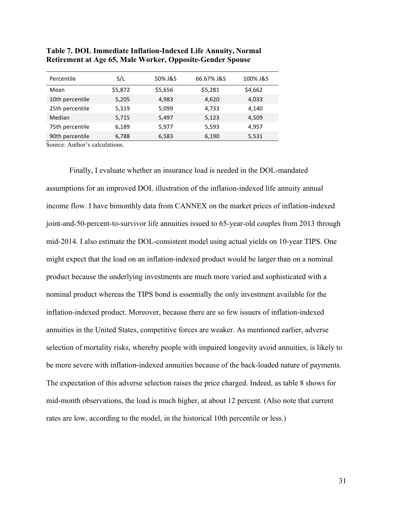| Percentile      | S/L     | 50% J&S | 66.67% J&S | 100% J&S |
|-----------------|---------|---------|------------|----------|
| Mean            | \$5,872 | \$5,656 | \$5,281    | \$4,662  |
| 10th percentile | 5,205   | 4,983   | 4.620      | 4,033    |
| 25th percentile | 5,319   | 5,099   | 4,733      | 4,140    |
| Median          | 5,715   | 5,497   | 5,123      | 4,509    |
| 75th percentile | 6,189   | 5,977   | 5,593      | 4,957    |
| 90th percentile | 6,788   | 6,583   | 6,190      | 5,531    |

## **Table 7. DOL Immediate Inflation-Indexed Life Annuity, Normal Retirement at Age 65, Male Worker, Opposite-Gender Spouse**

Source: Author's calculations.

Finally, I evaluate whether an insurance load is needed in the DOL-mandated assumptions for an improved DOL illustration of the inflation-indexed life annuity annual income flow. I have bimonthly data from CANNEX on the market prices of inflation-indexed joint-and-50-percent-to-survivor life annuities issued to 65-year-old couples from 2013 through mid-2014. I also estimate the DOL-consistent model using actual yields on 10-year TIPS. One might expect that the load on an inflation-indexed product would be larger than on a nominal product because the underlying investments are much more varied and sophisticated with a nominal product whereas the TIPS bond is essentially the only investment available for the inflation-indexed product. Moreover, because there are so few issuers of inflation-indexed annuities in the United States, competitive forces are weaker. As mentioned earlier, adverse selection of mortality risks, whereby people with impaired longevity avoid annuities, is likely to be more severe with inflation-indexed annuities because of the back-loaded nature of payments. The expectation of this adverse selection raises the price charged. Indeed, as table 8 shows for mid-month observations, the load is much higher, at about 12 percent. (Also note that current rates are low, according to the model, in the historical 10th percentile or less.)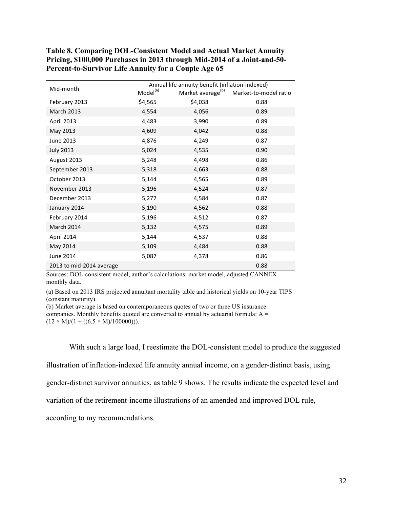|                          |                      | Annual life annuity benefit (inflation-indexed) |                       |
|--------------------------|----------------------|-------------------------------------------------|-----------------------|
| Mid-month                | Model <sup>(a)</sup> | Market average <sup>(b)</sup>                   | Market-to-model ratio |
| February 2013            | \$4,565              | \$4,038                                         | 0.88                  |
| <b>March 2013</b>        | 4,554                | 4,056                                           | 0.89                  |
| April 2013               | 4,483                | 3,990                                           | 0.89                  |
| May 2013                 | 4,609                | 4,042                                           | 0.88                  |
| June 2013                | 4,876                | 4,249                                           | 0.87                  |
| <b>July 2013</b>         | 5,024                | 4,535                                           | 0.90                  |
| August 2013              | 5,248                | 4,498                                           | 0.86                  |
| September 2013           | 5,318                | 4,663                                           | 0.88                  |
| October 2013             | 5,144                | 4,565                                           | 0.89                  |
| November 2013            | 5,196                | 4,524                                           | 0.87                  |
| December 2013            | 5,277                | 4,584                                           | 0.87                  |
| January 2014             | 5,190                | 4,562                                           | 0.88                  |
| February 2014            | 5,196                | 4,512                                           | 0.87                  |
| March 2014               | 5,132                | 4,575                                           | 0.89                  |
| April 2014               | 5,144                | 4,537                                           | 0.88                  |
| May 2014                 | 5,109                | 4,484                                           | 0.88                  |
| June 2014                | 5,087                | 4,378                                           | 0.86                  |
| 2013 to mid-2014 average |                      |                                                 | 0.88                  |

**Table 8. Comparing DOL-Consistent Model and Actual Market Annuity Pricing, \$100,000 Purchases in 2013 through Mid-2014 of a Joint-and-50- Percent-to-Survivor Life Annuity for a Couple Age 65**

Sources: DOL-consistent model, author's calculations; market model, adjusted CANNEX monthly data.

(a) Based on 2013 IRS projected annuitant mortality table and historical yields on 10-year TIPS (constant maturity).

(b) Market average is based on contemporaneous quotes of two or three US insurance companies. Monthly benefits quoted are converted to annual by actuarial formula: A =  $(12 \times M)/(1 + ((6.5 \times M)/100000))$ .

With such a large load, I reestimate the DOL-consistent model to produce the suggested

illustration of inflation-indexed life annuity annual income, on a gender-distinct basis, using

gender-distinct survivor annuities, as table 9 shows. The results indicate the expected level and

variation of the retirement-income illustrations of an amended and improved DOL rule,

according to my recommendations.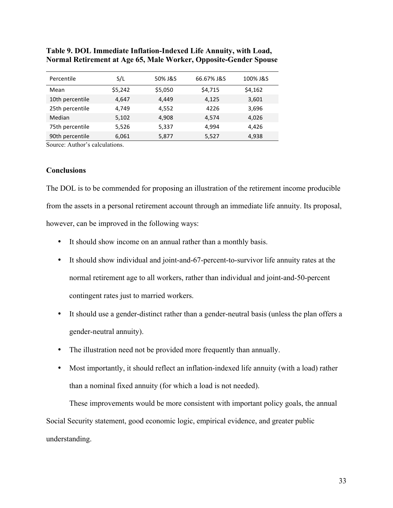| Percentile      | S/L     | 50% J&S | 66.67% J&S | 100% J&S |
|-----------------|---------|---------|------------|----------|
| Mean            | \$5,242 | \$5,050 | \$4,715    | \$4,162  |
| 10th percentile | 4.647   | 4.449   | 4,125      | 3,601    |
| 25th percentile | 4,749   | 4,552   | 4226       | 3,696    |
| Median          | 5,102   | 4,908   | 4,574      | 4,026    |
| 75th percentile | 5,526   | 5,337   | 4.994      | 4,426    |
| 90th percentile | 6,061   | 5,877   | 5,527      | 4,938    |

## **Table 9. DOL Immediate Inflation-Indexed Life Annuity, with Load, Normal Retirement at Age 65, Male Worker, Opposite-Gender Spouse**

Source: Author's calculations.

## **Conclusions**

The DOL is to be commended for proposing an illustration of the retirement income producible from the assets in a personal retirement account through an immediate life annuity. Its proposal, however, can be improved in the following ways:

- It should show income on an annual rather than a monthly basis.
- It should show individual and joint-and-67-percent-to-survivor life annuity rates at the normal retirement age to all workers, rather than individual and joint-and-50-percent contingent rates just to married workers.
- It should use a gender-distinct rather than a gender-neutral basis (unless the plan offers a gender-neutral annuity).
- The illustration need not be provided more frequently than annually.
- Most importantly, it should reflect an inflation-indexed life annuity (with a load) rather than a nominal fixed annuity (for which a load is not needed).

These improvements would be more consistent with important policy goals, the annual Social Security statement, good economic logic, empirical evidence, and greater public understanding.